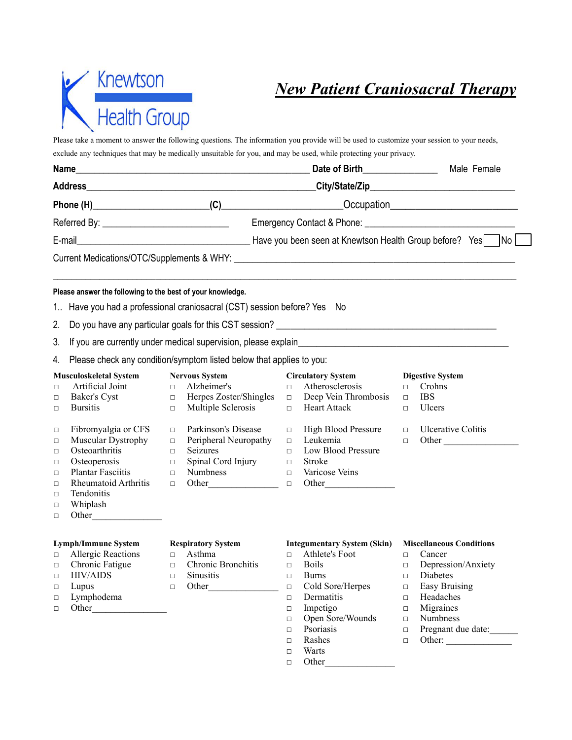

Please take a moment to answer the following questions. The information you provide will be used to customize your session to your needs, exclude any techniques that may be medically unsuitable for you, and may be used, while protecting your privacy.

|                                                                                                                                               |                                                          |                               | Date of Birth_______________                                         |                                                                                                                   |                                                                                                                                                                                                                                      | Male Female                                                                                                                            |
|-----------------------------------------------------------------------------------------------------------------------------------------------|----------------------------------------------------------|-------------------------------|----------------------------------------------------------------------|-------------------------------------------------------------------------------------------------------------------|--------------------------------------------------------------------------------------------------------------------------------------------------------------------------------------------------------------------------------------|----------------------------------------------------------------------------------------------------------------------------------------|
|                                                                                                                                               |                                                          |                               |                                                                      |                                                                                                                   |                                                                                                                                                                                                                                      |                                                                                                                                        |
|                                                                                                                                               |                                                          |                               |                                                                      |                                                                                                                   |                                                                                                                                                                                                                                      |                                                                                                                                        |
|                                                                                                                                               |                                                          |                               |                                                                      |                                                                                                                   |                                                                                                                                                                                                                                      |                                                                                                                                        |
|                                                                                                                                               |                                                          |                               |                                                                      |                                                                                                                   |                                                                                                                                                                                                                                      | ]No∣                                                                                                                                   |
|                                                                                                                                               |                                                          |                               |                                                                      |                                                                                                                   |                                                                                                                                                                                                                                      |                                                                                                                                        |
|                                                                                                                                               |                                                          |                               |                                                                      |                                                                                                                   |                                                                                                                                                                                                                                      |                                                                                                                                        |
|                                                                                                                                               |                                                          |                               |                                                                      |                                                                                                                   |                                                                                                                                                                                                                                      |                                                                                                                                        |
|                                                                                                                                               |                                                          |                               |                                                                      |                                                                                                                   |                                                                                                                                                                                                                                      |                                                                                                                                        |
|                                                                                                                                               |                                                          |                               |                                                                      |                                                                                                                   |                                                                                                                                                                                                                                      |                                                                                                                                        |
|                                                                                                                                               |                                                          |                               |                                                                      |                                                                                                                   |                                                                                                                                                                                                                                      |                                                                                                                                        |
| Artificial Joint<br>Baker's Cyst<br><b>Bursitis</b>                                                                                           | $\Box$                                                   | Alzheimer's                   | $\Box$                                                               | Atherosclerosis                                                                                                   | $\Box$<br>$\Box$<br>$\Box$                                                                                                                                                                                                           | <b>Digestive System</b><br>Crohns<br><b>IBS</b><br>Ulcers                                                                              |
| Fibromyalgia or CFS<br>Muscular Dystrophy<br>Osteoarthritis<br>Osteoperosis<br><b>Plantar Fasciitis</b><br>Rheumatoid Arthritis<br>Tendonitis | $\Box$<br>$\Box$<br>$\Box$<br>$\Box$<br>$\Box$<br>$\Box$ | Seizures<br>Numbness          | $\Box$<br>$\Box$<br>$\Box$<br>$\Box$<br>$\Box$<br>$\Box$             | Leukemia<br>Low Blood Pressure<br>Stroke<br>Varicose Veins                                                        | $\Box$<br>$\Box$                                                                                                                                                                                                                     | <b>Ulcerative Colitis</b><br>Other                                                                                                     |
|                                                                                                                                               |                                                          | <b>Musculoskeletal System</b> | Please answer the following to the best of your knowledge.<br>$\Box$ | <b>Nervous System</b><br>Multiple Sclerosis<br>Parkinson's Disease<br>Peripheral Neuropathy<br>Spinal Cord Injury | 1. Have you had a professional craniosacral (CST) session before? Yes No<br>Please check any condition/symptom listed below that applies to you:<br>$\Box$ Herpes Zoster/Shingles $\Box$ Deep Vein Thrombosis<br>$\Box$ Heart Attack | If you are currently under medical supervision, please explain<br>Fig. 2014<br><b>Circulatory System</b><br><b>High Blood Pressure</b> |

## **Lymph/Immune System Respiratory System Integumentary System (Skin) Miscellaneous Conditions**

- 
- 
- 
- 
- □ Lymphodema Dermatitis Headaches
- 

- 
- □ HIV/AIDS □ Sinusitis □ Burns □ Diabetes
	-

- □ Allergic Reactions □ Asthma □ Athlete's Foot □ Cancer
	-
	-
	-
	-
	-
	-
	-
	-
	-
	- □ Warts
	- □ Other\_\_\_\_\_\_\_\_\_\_\_\_\_\_\_
- 
- 
- □ Chronic Fatigue □ Chronic Bronchitis □ Boils □ Depression/Anxiety
	-
- □ Lupus □ Other □ Cold Sore/Herpes □ Easy Bruising
	-
- □ Other □ Impetigo □ Migraines
	- □ Open Sore/Wounds □ Numbness
	- □ Psoriasis □ Pregnant due date:
	- □ Rashes □ Other:
		-
		-